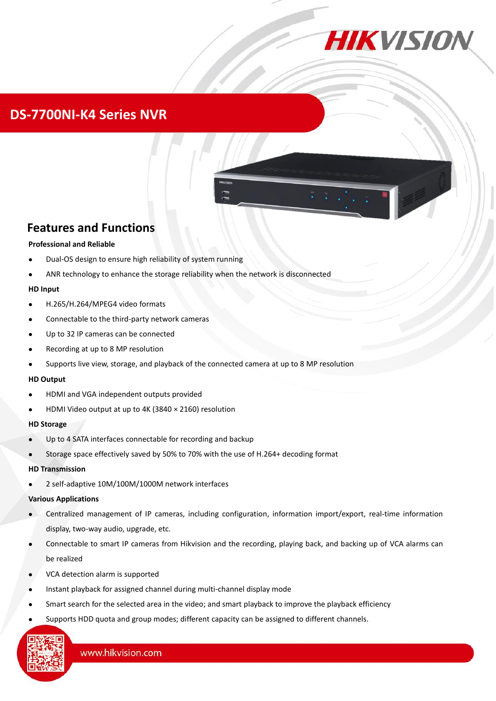

## **DS-7700NI-K4 Series NVR**



### **Features and Functions**

#### **Professional and Reliable**

- Dual-OS design to ensure high reliability of system running
- ANR technology to enhance the storage reliability when the network is disconnected

#### **HD Input**

- H.265/H.264/MPEG4 video formats
- Connectable to the third-party network cameras
- Up to 32 IP cameras can be connected
- Recording at up to 8 MP resolution
- Supports live view, storage, and playback of the connected camera at up to 8 MP resolution

#### **HD Output**

- HDMI and VGA independent outputs provided
- HDMI Video output at up to 4K (3840 × 2160) resolution

#### **HD Storage**

- Up to 4 SATA interfaces connectable for recording and backup
- Storage space effectively saved by 50% to 70% with the use of H.264+ decoding format

#### **HD Transmission**

2 self-adaptive 10M/100M/1000M network interfaces

#### **Various Applications**

- Centralized management of IP cameras, including configuration, information import/export, real-time information display, two-way audio, upgrade, etc.
- Connectable to smart IP cameras from Hikvision and the recording, playing back, and backing up of VCA alarms can be realized
- VCA detection alarm is supported
- Instant playback for assigned channel during multi-channel display mode
- Smart search for the selected area in the video; and smart playback to improve the playback efficiency
- Supports HDD quota and group modes; different capacity can be assigned to different channels.

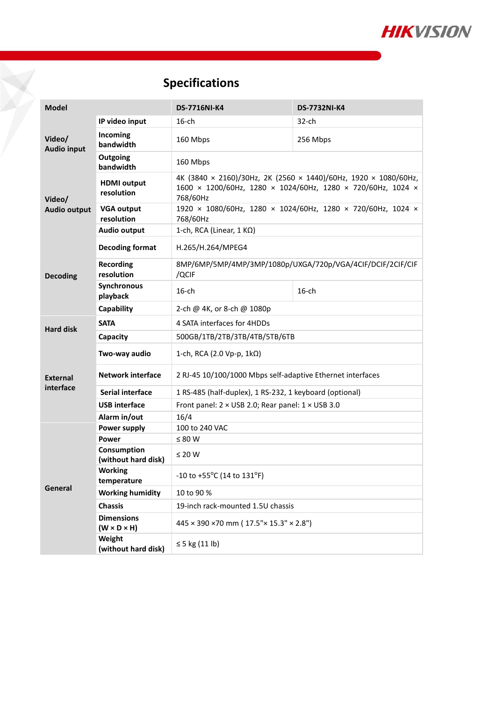

# **Specifications**

| <b>Model</b>                                     |                                              | <b>DS-7716NI-K4</b>                                                                                                                        | <b>DS-7732NI-K4</b> |  |  |
|--------------------------------------------------|----------------------------------------------|--------------------------------------------------------------------------------------------------------------------------------------------|---------------------|--|--|
| Video/<br><b>Audio input</b>                     | IP video input                               | $16$ -ch                                                                                                                                   | $32$ -ch            |  |  |
|                                                  | Incoming<br>bandwidth                        | 160 Mbps                                                                                                                                   | 256 Mbps            |  |  |
|                                                  | Outgoing<br>bandwidth                        | 160 Mbps                                                                                                                                   |                     |  |  |
| Video/<br><b>Audio output</b>                    | <b>HDMI</b> output<br>resolution             | 4K (3840 × 2160)/30Hz, 2K (2560 × 1440)/60Hz, 1920 × 1080/60Hz,<br>1600 × 1200/60Hz, 1280 × 1024/60Hz, 1280 × 720/60Hz, 1024 ×<br>768/60Hz |                     |  |  |
|                                                  | <b>VGA output</b><br>resolution              | 1920 × 1080/60Hz, 1280 × 1024/60Hz, 1280 × 720/60Hz, 1024 ×<br>768/60Hz                                                                    |                     |  |  |
|                                                  | <b>Audio output</b>                          | 1-ch, RCA (Linear, $1 K\Omega$ )                                                                                                           |                     |  |  |
| <b>Decoding</b>                                  | <b>Decoding format</b>                       | H.265/H.264/MPEG4                                                                                                                          |                     |  |  |
|                                                  | <b>Recording</b><br>resolution               | 8MP/6MP/5MP/4MP/3MP/1080p/UXGA/720p/VGA/4CIF/DCIF/2CIF/CIF<br>/QCIF                                                                        |                     |  |  |
|                                                  | Synchronous<br>playback                      | $16$ -ch                                                                                                                                   | $16$ -ch            |  |  |
|                                                  | Capability                                   | 2-ch @ 4K, or 8-ch @ 1080p                                                                                                                 |                     |  |  |
| <b>Hard disk</b><br><b>External</b><br>interface | <b>SATA</b>                                  | 4 SATA interfaces for 4HDDs                                                                                                                |                     |  |  |
|                                                  | Capacity                                     | 500GB/1TB/2TB/3TB/4TB/5TB/6TB                                                                                                              |                     |  |  |
|                                                  | Two-way audio                                | 1-ch, RCA (2.0 Vp-p, $1k\Omega$ )                                                                                                          |                     |  |  |
|                                                  | <b>Network interface</b>                     | 2 RJ-45 10/100/1000 Mbps self-adaptive Ethernet interfaces                                                                                 |                     |  |  |
|                                                  | <b>Serial interface</b>                      | 1 RS-485 (half-duplex), 1 RS-232, 1 keyboard (optional)                                                                                    |                     |  |  |
|                                                  | <b>USB</b> interface                         | Front panel: $2 \times$ USB 2.0; Rear panel: $1 \times$ USB 3.0                                                                            |                     |  |  |
| General                                          | Alarm in/out                                 | 16/4                                                                                                                                       |                     |  |  |
|                                                  | Power supply                                 | 100 to 240 VAC                                                                                                                             |                     |  |  |
|                                                  | <b>Power</b>                                 | $\leq 80$ W                                                                                                                                |                     |  |  |
|                                                  | Consumption<br>(without hard disk)           | $\leq 20$ W                                                                                                                                |                     |  |  |
|                                                  | <b>Working</b><br>temperature                | -10 to +55°C (14 to 131°F)                                                                                                                 |                     |  |  |
|                                                  | <b>Working humidity</b>                      | 10 to 90 %                                                                                                                                 |                     |  |  |
|                                                  | <b>Chassis</b>                               | 19-inch rack-mounted 1.5U chassis                                                                                                          |                     |  |  |
|                                                  | <b>Dimensions</b><br>$(W \times D \times H)$ | 445 × 390 × 70 mm (17.5" × 15.3" × 2.8")                                                                                                   |                     |  |  |
|                                                  | Weight<br>(without hard disk)                | $\leq$ 5 kg (11 lb)                                                                                                                        |                     |  |  |